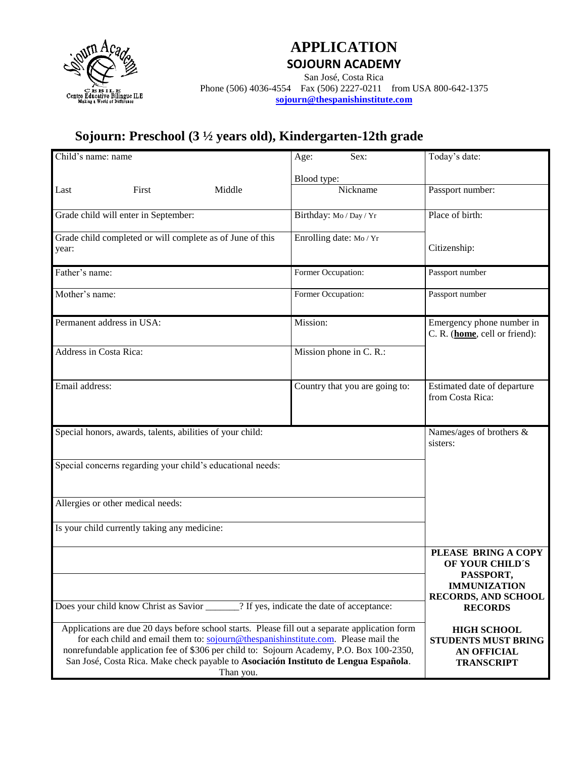

#### **APPLICATION SOJOURN ACADEMY**

San José, Costa Rica Phone (506) 4036-4554 Fax (506) 2227-0211 from USA 800-642-1375 **[sojourn@thespanishinstitute.com](mailto:sojourn@thespanishinstitute.com)** 

# **Sojourn: Preschool (3 ½ years old), Kindergarten-12th grade**

| Child's name: name                                                                                                                                                                                                                                                                                                                                                                    |       |        | Age:               | Sex:                           | Today's date:                                                                                            |
|---------------------------------------------------------------------------------------------------------------------------------------------------------------------------------------------------------------------------------------------------------------------------------------------------------------------------------------------------------------------------------------|-------|--------|--------------------|--------------------------------|----------------------------------------------------------------------------------------------------------|
|                                                                                                                                                                                                                                                                                                                                                                                       |       |        | Blood type:        |                                |                                                                                                          |
| Last                                                                                                                                                                                                                                                                                                                                                                                  | First | Middle |                    | Nickname                       | Passport number:                                                                                         |
| Grade child will enter in September:                                                                                                                                                                                                                                                                                                                                                  |       |        |                    | Birthday: Mo / Day / Yr        | Place of birth:                                                                                          |
| Grade child completed or will complete as of June of this<br>year:                                                                                                                                                                                                                                                                                                                    |       |        |                    | Enrolling date: Mo/Yr          | Citizenship:                                                                                             |
| Father's name:                                                                                                                                                                                                                                                                                                                                                                        |       |        | Former Occupation: |                                | Passport number                                                                                          |
| Mother's name:                                                                                                                                                                                                                                                                                                                                                                        |       |        | Former Occupation: |                                | Passport number                                                                                          |
| Permanent address in USA:                                                                                                                                                                                                                                                                                                                                                             |       |        | Mission:           |                                | Emergency phone number in<br>C. R. (home, cell or friend):                                               |
| Address in Costa Rica:                                                                                                                                                                                                                                                                                                                                                                |       |        |                    | Mission phone in C. R.:        |                                                                                                          |
| Email address:                                                                                                                                                                                                                                                                                                                                                                        |       |        |                    | Country that you are going to: | Estimated date of departure<br>from Costa Rica:                                                          |
| Special honors, awards, talents, abilities of your child:                                                                                                                                                                                                                                                                                                                             |       |        |                    |                                | Names/ages of brothers &<br>sisters:                                                                     |
| Special concerns regarding your child's educational needs:                                                                                                                                                                                                                                                                                                                            |       |        |                    |                                |                                                                                                          |
| Allergies or other medical needs:                                                                                                                                                                                                                                                                                                                                                     |       |        |                    |                                |                                                                                                          |
| Is your child currently taking any medicine:                                                                                                                                                                                                                                                                                                                                          |       |        |                    |                                |                                                                                                          |
|                                                                                                                                                                                                                                                                                                                                                                                       |       |        |                    |                                | PLEASE BRING A COPY<br>OF YOUR CHILD'S<br>PASSPORT,<br><b>IMMUNIZATION</b><br><b>RECORDS, AND SCHOOL</b> |
| Does your child know Christ as Savior _______? If yes, indicate the date of acceptance:                                                                                                                                                                                                                                                                                               |       |        |                    |                                | <b>RECORDS</b>                                                                                           |
| Applications are due 20 days before school starts. Please fill out a separate application form<br>for each child and email them to: sojourn@thespanishinstitute.com. Please mail the<br>nonrefundable application fee of \$306 per child to: Sojourn Academy, P.O. Box 100-2350,<br>San José, Costa Rica. Make check payable to Asociación Instituto de Lengua Española.<br>Than you. |       |        |                    |                                | <b>HIGH SCHOOL</b><br><b>STUDENTS MUST BRING</b><br><b>AN OFFICIAL</b><br><b>TRANSCRIPT</b>              |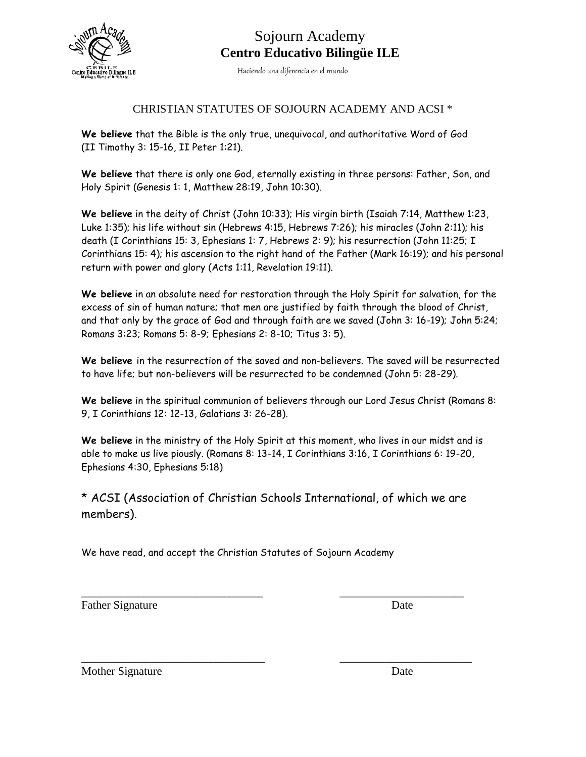

## Sojourn Academy **Centro Educativo Bilingüe ILE**

Haciendo una diferencia en el mundo

#### CHRISTIAN STATUTES OF SOJOURN ACADEMY AND ACSI \*

**We believe** that the Bible is the only true, unequivocal, and authoritative Word of God (II Timothy 3: 15-16, II Peter 1:21).

**We believe** that there is only one God, eternally existing in three persons: Father, Son, and Holy Spirit (Genesis 1: 1, Matthew 28:19, John 10:30).

**We believe** in the deity of Christ (John 10:33); His virgin birth (Isaiah 7:14, Matthew 1:23, Luke 1:35); his life without sin (Hebrews 4:15, Hebrews 7:26); his miracles (John 2:11); his death (I Corinthians 15: 3, Ephesians 1: 7, Hebrews 2: 9); his resurrection (John 11:25; I Corinthians 15: 4); his ascension to the right hand of the Father (Mark 16:19); and his personal return with power and glory (Acts 1:11, Revelation 19:11).

**We believe** in an absolute need for restoration through the Holy Spirit for salvation, for the excess of sin of human nature; that men are justified by faith through the blood of Christ, and that only by the grace of God and through faith are we saved (John 3: 16-19); John 5:24; Romans 3:23; Romans 5: 8-9; Ephesians 2: 8-10; Titus 3: 5).

**We believe** in the resurrection of the saved and non-believers. The saved will be resurrected to have life; but non-believers will be resurrected to be condemned (John 5: 28-29).

**We believe** in the spiritual communion of believers through our Lord Jesus Christ (Romans 8: 9, I Corinthians 12: 12-13, Galatians 3: 26-28).

**We believe** in the ministry of the Holy Spirit at this moment, who lives in our midst and is able to make us live piously. (Romans 8: 13-14, I Corinthians 3:16, I Corinthians 6: 19-20, Ephesians 4:30, Ephesians 5:18)

\* ACSI (Association of Christian Schools International, of which we are members).

\_\_\_\_\_\_\_\_\_\_\_\_\_\_\_\_\_\_\_\_\_\_\_\_\_\_\_\_\_\_\_\_\_\_\_\_\_\_ \_\_\_\_\_\_\_\_\_\_\_\_\_\_\_\_\_\_\_\_\_\_\_\_\_\_

\_\_\_\_\_\_\_\_\_\_\_\_\_\_\_\_\_\_\_\_\_\_\_\_\_\_\_\_\_\_\_\_ \_\_\_\_\_\_\_\_\_\_\_\_\_\_\_\_\_\_\_\_\_\_\_

We have read, and accept the Christian Statutes of Sojourn Academy

Father Signature Date

Mother Signature Date